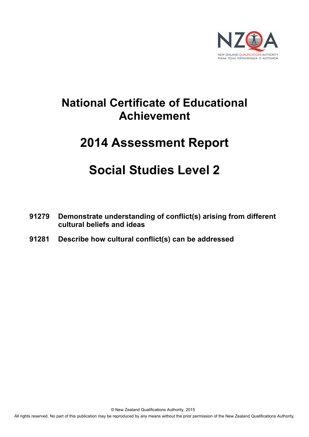

# **National Certificate of Educational Achievement**

# **2014 Assessment Report**

# **Social Studies Level 2**

- **91279 Demonstrate understanding of conflict(s) arising from different cultural beliefs and ideas**
- **91281 Describe how cultural conflict(s) can be addressed**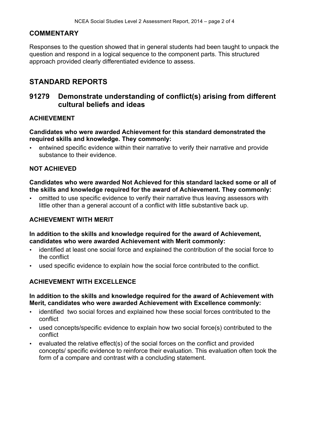#### **COMMENTARY**

Responses to the question showed that in general students had been taught to unpack the question and respond in a logical sequence to the component parts. This structured approach provided clearly differentiated evidence to assess.

# **STANDARD REPORTS**

# **91279 Demonstrate understanding of conflict(s) arising from different cultural beliefs and ideas**

#### **ACHIEVEMENT**

**Candidates who were awarded Achievement for this standard demonstrated the required skills and knowledge. They commonly:**

• entwined specific evidence within their narrative to verify their narrative and provide substance to their evidence.

#### **NOT ACHIEVED**

**Candidates who were awarded Not Achieved for this standard lacked some or all of the skills and knowledge required for the award of Achievement. They commonly:**

• omitted to use specific evidence to verify their narrative thus leaving assessors with little other than a general account of a conflict with little substantive back up.

#### **ACHIEVEMENT WITH MERIT**

#### **In addition to the skills and knowledge required for the award of Achievement, candidates who were awarded Achievement with Merit commonly:**

- identified at least one social force and explained the contribution of the social force to the conflict
- used specific evidence to explain how the social force contributed to the conflict.

### **ACHIEVEMENT WITH EXCELLENCE**

#### **In addition to the skills and knowledge required for the award of Achievement with Merit, candidates who were awarded Achievement with Excellence commonly:**

- identified two social forces and explained how these social forces contributed to the conflict
- used concepts/specific evidence to explain how two social force(s) contributed to the conflict
- evaluated the relative effect(s) of the social forces on the conflict and provided concepts/ specific evidence to reinforce their evaluation. This evaluation often took the form of a compare and contrast with a concluding statement.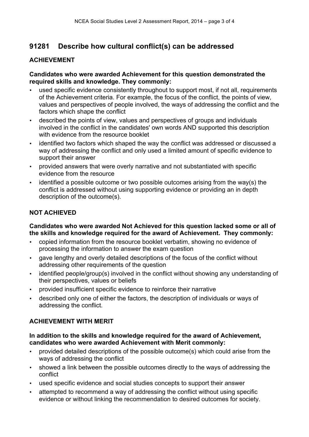# **91281 Describe how cultural conflict(s) can be addressed**

# **ACHIEVEMENT**

#### **Candidates who were awarded Achievement for this question demonstrated the required skills and knowledge. They commonly:**

- used specific evidence consistently throughout to support most, if not all, requirements of the Achievement criteria. For example, the focus of the conflict, the points of view, values and perspectives of people involved, the ways of addressing the conflict and the factors which shape the conflict
- described the points of view, values and perspectives of groups and individuals involved in the conflict in the candidates' own words AND supported this description with evidence from the resource booklet
- identified two factors which shaped the way the conflict was addressed or discussed a way of addressing the conflict and only used a limited amount of specific evidence to support their answer
- provided answers that were overly narrative and not substantiated with specific evidence from the resource
- identified a possible outcome or two possible outcomes arising from the way(s) the conflict is addressed without using supporting evidence or providing an in depth description of the outcome(s).

# **NOT ACHIEVED**

### **Candidates who were awarded Not Achieved for this question lacked some or all of the skills and knowledge required for the award of Achievement. They commonly:**

- copied information from the resource booklet verbatim, showing no evidence of processing the information to answer the exam question
- gave lengthy and overly detailed descriptions of the focus of the conflict without addressing other requirements of the question
- identified people/group(s) involved in the conflict without showing any understanding of their perspectives, values or beliefs
- provided insufficient specific evidence to reinforce their narrative
- described only one of either the factors, the description of individuals or ways of addressing the conflict.

### **ACHIEVEMENT WITH MERIT**

#### **In addition to the skills and knowledge required for the award of Achievement, candidates who were awarded Achievement with Merit commonly:**

- provided detailed descriptions of the possible outcome(s) which could arise from the ways of addressing the conflict
- showed a link between the possible outcomes directly to the ways of addressing the conflict
- used specific evidence and social studies concepts to support their answer
- attempted to recommend a way of addressing the conflict without using specific evidence or without linking the recommendation to desired outcomes for society.